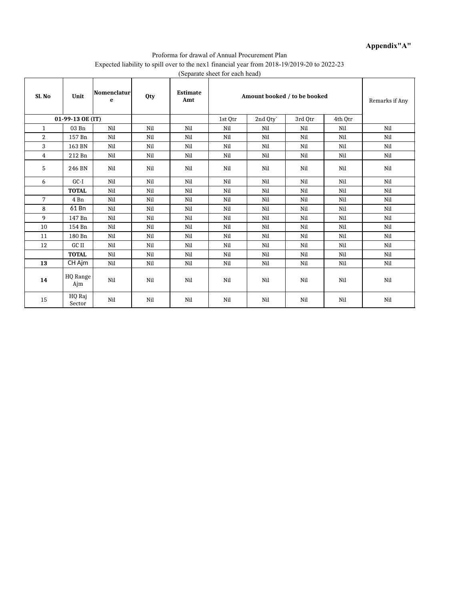## **Appendix"A"**

#### Proforma for drawal of Annual Procurement Plan Expected liability to spill over to the nex1 financial year from 2018-19/2019-20 to 2022-23 (Separate sheet for each head)

| Sl. No         | Unit             | Nomenclatur<br>e | <b>Qty</b> | $\mathcal{L}$ and $\mathbf{L}$ and $\mathbf{L}$<br><b>Estimate</b><br>Amt |         | Amount booked / to be booked |         |         |     |  |  |
|----------------|------------------|------------------|------------|---------------------------------------------------------------------------|---------|------------------------------|---------|---------|-----|--|--|
|                | 01-99-13 OE (IT) |                  |            |                                                                           | 1st Otr | 2nd Qty`                     | 3rd Otr | 4th Otr |     |  |  |
| $\mathbf{1}$   | 03 Bn            | Nil              | Nil        | Nil                                                                       | Nil     | Nil                          | Nil     | Nil     | Nil |  |  |
| $\overline{2}$ | 157 Bn           | Nil              | Nil        | Nil                                                                       | Nil     | Nil                          | Nil     | Nil     | Nil |  |  |
| 3              | 163 BN           | Nil              | Nil        | Nil                                                                       | Nil     | Nil                          | Nil     | Nil     | Nil |  |  |
| $\overline{4}$ | 212 Bn           | Nil              | Nil        | Nil                                                                       | Nil     | Nil                          | Nil     | Nil     | Nil |  |  |
| 5              | 246 BN           | Nil              | Nil        | Nil                                                                       | Nil     | Nil                          | Nil     | Nil     | Nil |  |  |
| 6              | $GC-I$           | Nil              | Nil        | Nil                                                                       | Nil     | Nil                          | Nil     | Nil     | Nil |  |  |
|                | <b>TOTAL</b>     | Nil              | Nil        | Nil                                                                       | Nil     | Nil                          | Nil     | Nil     | Nil |  |  |
| 7              | 4 Bn             | Nil              | Nil        | Nil                                                                       | Nil     | Nil                          | Nil     | Nil     | Nil |  |  |
| 8              | 61 Bn            | Nil              | Nil        | Nil                                                                       | Nil     | Nil                          | Nil     | Nil     | Nil |  |  |
| 9              | 147 Bn           | Nil              | Nil        | Nil                                                                       | Nil     | Nil                          | Nil     | Nil     | Nil |  |  |
| 10             | 154 Bn           | Nil              | Nil        | Nil                                                                       | Nil     | Nil                          | Nil     | Nil     | Nil |  |  |
| 11             | 180 Bn           | Nil              | Nil        | Nil                                                                       | Nil     | Nil                          | Nil     | Nil     | Nil |  |  |
| 12             | GC II            | Nil              | Nil        | Nil                                                                       | Nil     | Nil                          | Nil     | Nil     | Nil |  |  |
|                | <b>TOTAL</b>     | Nil              | Nil        | Nil                                                                       | Nil     | Nil                          | Nil     | Nil     | Nil |  |  |
| 13             | CH Ajm           | Nil              | Nil        | Nil                                                                       | Nil     | Nil                          | Nil     | Nil     | Nil |  |  |
| 14             | HQ Range<br>Ajm  | Nil              | Nil        | Nil                                                                       | Nil     | Nil                          | Nil     | Nil     | Nil |  |  |
| 15             | HQ Raj<br>Sector | Nil              | Nil        | Nil                                                                       | Nil     | Nil                          | Nil     | Nil     | Nil |  |  |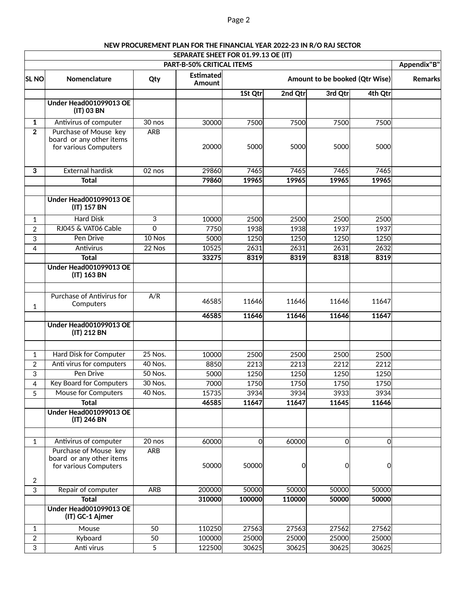|                     |                                                                            |            | SEPARATE SHEET FOR 01.99.13 OE (IT)<br><b>PART-B-50% CRITICAL ITEMS</b> |                |              |                                |                | Appendix"B" |
|---------------------|----------------------------------------------------------------------------|------------|-------------------------------------------------------------------------|----------------|--------------|--------------------------------|----------------|-------------|
| <b>SL NO</b>        | Nomenclature                                                               | Qty        | Estimated<br>Amount                                                     |                |              | Amount to be booked (Qtr Wise) |                | Remarks     |
|                     |                                                                            |            |                                                                         | 1St Qtr        | 2nd Qtr      | 3rd Qtr                        | 4th Qtr        |             |
|                     | <b>Under Head001099013 OE</b><br>(IT) 03 BN                                |            |                                                                         |                |              |                                |                |             |
| $\mathbf{1}$        | Antivirus of computer                                                      | 30 nos     | 30000                                                                   | 7500           | 7500         | 7500                           | 7500           |             |
| $\overline{2}$      | Purchase of Mouse key<br>board or any other items<br>for various Computers | <b>ARB</b> | 20000                                                                   | 5000           | 5000         | 5000                           | 5000           |             |
| 3                   | <b>External hardisk</b>                                                    | 02 nos     | 29860                                                                   | 7465           | 7465         | 7465                           | 7465           |             |
|                     | <b>Total</b>                                                               |            | 79860                                                                   | 19965          | 19965        | 19965                          | 19965          |             |
|                     |                                                                            |            |                                                                         |                |              |                                |                |             |
|                     | <b>Under Head001099013 OE</b><br>(IT) 157 BN                               |            |                                                                         |                |              |                                |                |             |
| $\mathbf{1}$        | <b>Hard Disk</b>                                                           | 3          | 10000                                                                   | 2500           | 2500         | 2500                           | 2500           |             |
| $\overline{2}$      | RJ045 & VAT06 Cable                                                        | 0          | 7750                                                                    | 1938           | 1938         | 1937                           | 1937           |             |
| 3                   | Pen Drive                                                                  | $10$ Nos   | 5000                                                                    | 1250           | 1250         | 1250                           | 1250           |             |
| $\overline{4}$      | Antivirus                                                                  | 22 Nos     | 10525                                                                   | 2631           | 2631         | 2631                           | 2632           |             |
|                     | <b>Total</b>                                                               |            | 33275                                                                   | 8319           | 8319         | 8318                           | 8319           |             |
|                     | Under Head001099013 OE<br>(IT) 163 BN                                      |            |                                                                         |                |              |                                |                |             |
| $\mathbf{1}$        | Purchase of Antivirus for<br>Computers                                     | A/R        | 46585                                                                   | 11646          | 11646        | 11646                          | 11647          |             |
|                     |                                                                            |            | 46585                                                                   | 11646          | 11646        | 11646                          | 11647          |             |
|                     | <b>Under Head001099013 OE</b><br>(IT) 212 BN                               |            |                                                                         |                |              |                                |                |             |
|                     |                                                                            | $25$ Nos.  |                                                                         |                |              |                                |                |             |
| $\mathbf{1}$        | Hard Disk for Computer<br>Anti virus for computers                         | 40 Nos.    | <b>10000</b><br>8850                                                    | 2500<br>2213   | 2500<br>2213 | 2500<br>2212                   | 2500<br>2212   |             |
| $\overline{2}$<br>3 | Pen Drive                                                                  | 50 Nos.    | 5000                                                                    | 1250           | 1250         | 1250                           | 1250           |             |
| 4                   | <b>Key Board for Computers</b>                                             | 30 Nos.    | 7000                                                                    | 1750           | 1750         | 1750                           | 1750           |             |
| 5                   | Mouse for Computers                                                        | 40 Nos.    | 15735                                                                   | 3934           | 3934         | 3933                           | 3934           |             |
|                     | <b>Total</b>                                                               |            | 46585                                                                   | 11647          | 11647        | 11645                          | 11646          |             |
|                     | Under Head001099013 OE<br>(IT) 246 BN                                      |            |                                                                         |                |              |                                |                |             |
|                     |                                                                            |            |                                                                         |                |              |                                |                |             |
| $\mathbf{1}$        | Antivirus of computer                                                      | 20 nos     | 60000                                                                   | $\overline{0}$ | 60000        | $\overline{0}$                 | $\overline{O}$ |             |
|                     | Purchase of Mouse key<br>board or any other items<br>for various Computers | <b>ARB</b> | 50000                                                                   | 50000          | 0            | 0                              | $\Omega$       |             |
| $\overline{2}$      |                                                                            |            |                                                                         |                |              |                                |                |             |
| 3                   | Repair of computer                                                         | <b>ARB</b> | 200000                                                                  | 50000          | 50000        | 50000                          | 50000          |             |
|                     | <b>Total</b>                                                               |            | 310000                                                                  | 100000         | 110000       | 50000                          | 50000          |             |
|                     | Under Head001099013 OE<br>(IT) GC-1 Ajmer                                  |            |                                                                         |                |              |                                |                |             |
| $\mathbf{1}$        | Mouse                                                                      | 50         | 110250                                                                  | 27563          | 27563        | 27562                          | 27562          |             |
| $\overline{2}$      | Kyboard                                                                    | 50         | 100000                                                                  | 25000          | 25000        | 25000                          | 25000          |             |
| 3                   | Anti virus                                                                 | 5          | 122500                                                                  | 30625          | 30625        | 30625                          | 30625          |             |

# **NEW PROCUREMENT PLAN FOR THE FINANCIAL YEAR 2022-23 IN R/O RAJ SECTOR**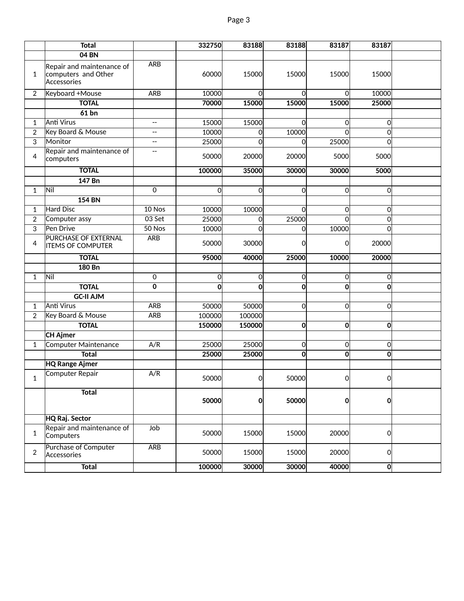|                | <b>Total</b>                                                    |                | 332750         | 83188        | 83188 | 83187          | 83187          |  |
|----------------|-----------------------------------------------------------------|----------------|----------------|--------------|-------|----------------|----------------|--|
|                | 04 BN                                                           |                |                |              |       |                |                |  |
| $\mathbf{1}$   | Repair and maintenance of<br>computers and Other<br>Accessories | <b>ARB</b>     | 60000          | 15000        | 15000 | 15000          | 15000          |  |
| $\overline{2}$ | Keyboard +Mouse                                                 | <b>ARB</b>     | 10000          | <sub>0</sub> | Ωl    | $\Omega$       | 10000          |  |
|                | <b>TOTAL</b>                                                    |                | 70000          | 15000        | 15000 | 15000          | 25000          |  |
|                | $61$ bn                                                         |                |                |              |       |                |                |  |
| $\mathbf{1}$   | <b>Anti Virus</b>                                               | $-$            | 15000          | 15000        | Οl    | $\Omega$       | <sub>0</sub>   |  |
| $\overline{2}$ | Key Board & Mouse                                               | $-$            | 10000          | <sub>0</sub> | 10000 | $\Omega$       | $\Omega$       |  |
| 3              | Monitor                                                         | $- -$          | 25000          | $\Omega$     | 0l    | 25000          | $\Omega$       |  |
| 4              | Repair and maintenance of<br>computers                          | --             | 50000          | 20000        | 20000 | 5000           | 5000           |  |
|                | <b>TOTAL</b>                                                    |                | 100000         | 35000        | 30000 | 30000          | 5000           |  |
|                | 147 Bn                                                          |                |                |              |       |                |                |  |
| $\mathbf{1}$   | Nil                                                             | $\overline{0}$ | $\overline{0}$ | $\Omega$     | 0     | $\Omega$       | $\Omega$       |  |
|                | <b>154 BN</b>                                                   |                |                |              |       |                |                |  |
| $\mathbf{1}$   | Hard Disc                                                       | 10 Nos         | 10000          | 10000        | Οl    | $\Omega$       | $\Omega$       |  |
| $\overline{2}$ | Computer assy                                                   | 03 Set         | 25000          | <sub>0</sub> | 25000 | $\Omega$       | $\Omega$       |  |
| $\overline{3}$ | Pen Drive                                                       | 50 Nos         | 10000          | $\Omega$     | Οl    | 10000          | <sub>0</sub>   |  |
| 4              | <b>PURCHASE OF EXTERNAL</b><br><b>ITEMS OF COMPUTER</b>         | <b>ARB</b>     | 50000          | 30000        | Οl    | $\Omega$       | 20000          |  |
|                | <b>TOTAL</b>                                                    |                | 95000          | 40000        | 25000 | 10000          | 20000          |  |
|                | 180 Bn                                                          |                |                |              |       |                |                |  |
| $\mathbf{1}$   | Nil                                                             | 0              | 0              | <sub>0</sub> | 0l    | 0              | $\Omega$       |  |
|                | <b>TOTAL</b>                                                    | 0              | $\mathbf 0$    | $\Omega$     | O     | $\mathbf{0}$   | $\mathbf{0}$   |  |
|                | <b>GC-II AJM</b>                                                |                |                |              |       |                |                |  |
| $\mathbf{1}$   | <b>Anti Virus</b>                                               | ARB            | 50000          | 50000        | 이     | $\overline{0}$ | $\overline{0}$ |  |
| $\overline{2}$ | Key Board & Mouse                                               | ARB            | 100000         | 100000       |       |                |                |  |
|                | <b>TOTAL</b>                                                    |                | 150000         | 150000       | 0     | $\mathbf{0}$   | 0              |  |
|                | <b>CH Ajmer</b>                                                 |                |                |              |       |                |                |  |
| $\mathbf{1}$   | Computer Maintenance                                            | A/R            | 25000          | 25000        | 이     | $\Omega$       | $\Omega$       |  |
|                | <b>Total</b>                                                    |                | 25000          | 25000        | Ol    | $\mathbf{0}$   | 0              |  |
|                | <b>HQ</b> Range Ajmer                                           |                |                |              |       |                |                |  |
| $\mathbf{1}$   | Computer Repair                                                 | A/R            | 50000          | 0l           | 50000 | 0              | 0              |  |
|                | <b>Total</b>                                                    |                | 50000          | $\mathbf{0}$ | 50000 | $\mathbf{0}$   | 0              |  |
|                | HQ Raj. Sector                                                  |                |                |              |       |                |                |  |
| 1              | Repair and maintenance of<br>Computers                          | Job            | 50000          | 15000        | 15000 | 20000          | 0              |  |
| $\overline{2}$ | Purchase of Computer<br>Accessories                             | <b>ARB</b>     | 50000          | 15000        | 15000 | 20000          | 0              |  |
|                | <b>Total</b>                                                    |                | 100000         | 30000        | 30000 | 40000          | $\overline{0}$ |  |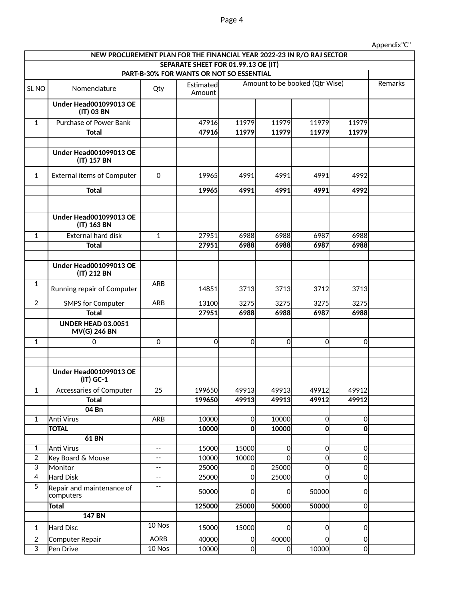## Appendix"C"

|                                | NEW PROCUREMENT PLAN FOR THE FINANCIAL YEAR 2022-23 IN R/O RAJ SECTOR |                                |                                          |                |                          |                                |              |         |
|--------------------------------|-----------------------------------------------------------------------|--------------------------------|------------------------------------------|----------------|--------------------------|--------------------------------|--------------|---------|
|                                |                                                                       |                                | SEPARATE SHEET FOR 01.99.13 OE (IT)      |                |                          |                                |              |         |
|                                |                                                                       |                                | PART-B-30% FOR WANTS OR NOT SO ESSENTIAL |                |                          |                                |              |         |
| SL <sub>NO</sub>               | Nomenclature                                                          | Qty                            | Estimated<br>Amount                      |                |                          | Amount to be booked (Qtr Wise) |              | Remarks |
|                                | <b>Under Head001099013 OE</b><br>(IT) 03 BN                           |                                |                                          |                |                          |                                |              |         |
| $\mathbf{1}$                   | <b>Purchase of Power Bank</b>                                         |                                | 47916                                    | 11979          | 11979                    | 11979                          | 11979        |         |
|                                | <b>Total</b>                                                          |                                | 47916                                    | 11979          | 11979                    | 11979                          | 11979        |         |
|                                |                                                                       |                                |                                          |                |                          |                                |              |         |
|                                | <b>Under Head001099013 OE</b><br>(IT) 157 BN                          |                                |                                          |                |                          |                                |              |         |
| $\mathbf{1}$                   | <b>External items of Computer</b>                                     | 0                              | 19965                                    | 4991           | 4991                     | 4991                           | 4992         |         |
|                                | <b>Total</b>                                                          |                                | 19965                                    | 4991           | 4991                     | 4991                           | 4992         |         |
|                                |                                                                       |                                |                                          |                |                          |                                |              |         |
|                                | <b>Under Head001099013 OE</b><br>(IT) 163 BN                          |                                |                                          |                |                          |                                |              |         |
| $\mathbf{1}$                   | <b>External hard disk</b>                                             | $\mathbf{1}$                   | 27951                                    | 6988           | 6988                     | 6987                           | 6988         |         |
|                                | <b>Total</b>                                                          |                                | 27951                                    | 6988           | 6988                     | 6987                           | 6988         |         |
|                                |                                                                       |                                |                                          |                |                          |                                |              |         |
|                                | <b>Under Head001099013 OE</b><br>(IT) 212 BN                          |                                |                                          |                |                          |                                |              |         |
| $\overline{1}$                 | Running repair of Computer                                            | <b>ARB</b>                     | 14851                                    | 3713           | 3713                     | 3712                           | 3713         |         |
| $\overline{2}$                 | <b>SMPS for Computer</b>                                              | <b>ARB</b>                     | 13100                                    | 3275           | 3275                     | 3275                           | 3275         |         |
|                                | <b>Total</b>                                                          |                                | 27951                                    | 6988           | 6988                     | 6987                           | 6988         |         |
|                                | <b>UNDER HEAD 03.0051</b><br><b>MV(G) 246 BN</b>                      |                                |                                          |                |                          |                                |              |         |
| $\mathbf{1}$                   | 0                                                                     | $\Omega$                       | $\mathbf 0$                              | $\mathbf 0$    | οl                       | $\Omega$                       | 0            |         |
|                                |                                                                       |                                |                                          |                |                          |                                |              |         |
|                                |                                                                       |                                |                                          |                |                          |                                |              |         |
|                                | <b>Under Head001099013 OE</b><br>$(IT)$ GC-1                          |                                |                                          |                |                          |                                |              |         |
| $\mathbf{1}$                   | Accessaries of Computer                                               | 25                             | 199650                                   | 49913          | 49913                    | 49912                          | 49912        |         |
|                                | Total                                                                 |                                | 199650                                   | 49913          | 49913                    | 49912                          | 49912        |         |
|                                | 04 Bn                                                                 |                                |                                          |                |                          |                                |              |         |
| $\mathbf{1}$                   | Anti Virus                                                            | <b>ARB</b>                     | 10000                                    | $\mathbf 0$    | 10000                    | $\overline{0}$                 | 0            |         |
|                                | <b>TOTAL</b>                                                          |                                | 10000                                    | 0              | 10000                    | $\overline{0}$                 | 0            |         |
|                                | <b>61 BN</b>                                                          |                                |                                          |                |                          |                                |              |         |
| $\mathbf{1}$<br>$\overline{2}$ | <b>Anti Virus</b><br>Key Board & Mouse                                | $\overline{\phantom{a}}$<br>-- | 15000<br>10000                           | 15000<br>10000 | <sub>0</sub><br>$\Omega$ | $\overline{0}$<br>$\mathbf 0$  | 0 <br>0      |         |
| $\overline{3}$                 | Monitor                                                               | --                             | 25000                                    | 0              | 25000                    | $\overline{O}$                 | 0            |         |
| $\overline{4}$                 | Hard Disk                                                             | --                             | 25000                                    | 0              | 25000                    | $\overline{0}$                 | 0            |         |
| $\overline{5}$                 | Repair and maintenance of<br>computers                                | --                             | 50000                                    | 0              | 0l                       | 50000                          | <sup>O</sup> |         |
|                                | <b>Total</b>                                                          |                                | 125000                                   | 25000          | 50000                    | 50000                          | 0            |         |
|                                | <b>147 BN</b>                                                         |                                |                                          |                |                          |                                |              |         |
| $\mathbf{1}$                   | Hard Disc                                                             | 10 Nos                         | 15000                                    | 15000          | 0l                       | $\overline{0}$                 | 0            |         |
| $\boldsymbol{2}$               | Computer Repair                                                       | <b>AORB</b>                    | 40000                                    | $\mathbf 0$    | 40000                    | $\overline{0}$                 | 0            |         |
| $\overline{3}$                 | Pen Drive                                                             | 10 Nos                         | 10000                                    | 0              | 0l                       | 10000                          | <sub>0</sub> |         |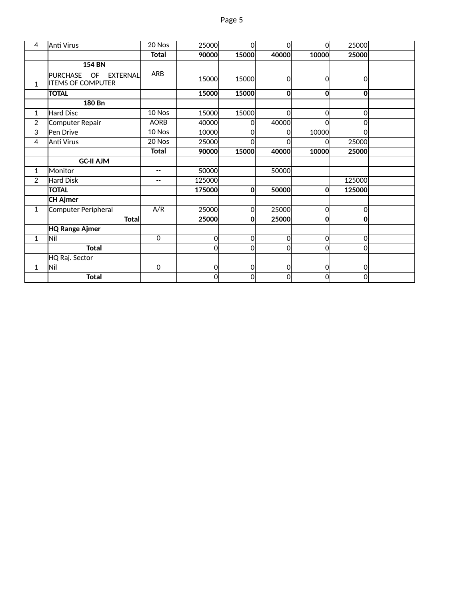| 4              | lAnti Virus                                                          | 20 Nos                   | 25000        | Ωl           | 0l       | $\Omega$       | 25000          |  |
|----------------|----------------------------------------------------------------------|--------------------------|--------------|--------------|----------|----------------|----------------|--|
|                |                                                                      | <b>Total</b>             | 90000        | 15000        | 40000    | 10000          | 25000          |  |
|                | <b>154 BN</b>                                                        |                          |              |              |          |                |                |  |
| $\mathbf{1}$   | <b>PURCHASE</b><br>OF<br><b>EXTERNAL</b><br><b>ITEMS OF COMPUTER</b> | <b>ARB</b>               | 15000        | 15000        | 0        | $\overline{0}$ | $\Omega$       |  |
|                | <b>TOTAL</b>                                                         |                          | 15000        | 15000        | 0        | $\mathbf{0}$   | $\Omega$       |  |
|                | 180 Bn                                                               |                          |              |              |          |                |                |  |
| 1              | <b>Hard Disc</b>                                                     | $10$ Nos                 | 15000        | 15000        | 0        | 0              | $\Omega$       |  |
| 2              | Computer Repair                                                      | <b>AORB</b>              | 40000        | <sup>0</sup> | 40000    | $\Omega$       | $\Omega$       |  |
| 3              | Pen Drive                                                            | 10 Nos                   | 10000        | $\Omega$     | O        | 10000          | $\Omega$       |  |
| 4              | Anti Virus                                                           | 20 Nos                   | 25000        | $\Omega$     | O        | O              | 25000          |  |
|                |                                                                      | <b>Total</b>             | 90000        | 15000        | 40000    | 10000          | 25000          |  |
|                | <b>GC-II AJM</b>                                                     |                          |              |              |          |                |                |  |
| $\mathbf{1}$   | Monitor                                                              | $\overline{\phantom{m}}$ | 50000        |              | 50000    |                |                |  |
| $\overline{2}$ | <b>Hard Disk</b>                                                     | $\overline{\phantom{a}}$ | 125000       |              |          |                | 125000         |  |
|                | <b>TOTAL</b>                                                         |                          | 175000       | 0            | 50000    | $\mathbf{0}$   | 125000         |  |
|                | <b>CH Ajmer</b>                                                      |                          |              |              |          |                |                |  |
| $\mathbf{1}$   | Computer Peripheral                                                  | A/R                      | 25000        | <sub>0</sub> | 25000    | $\mathbf 0$    | $\Omega$       |  |
|                | <b>Total</b>                                                         |                          | 25000        | $\mathbf{0}$ | 25000    | $\mathbf 0$    | $\mathbf{0}$   |  |
|                | <b>HQ Range Ajmer</b>                                                |                          |              |              |          |                |                |  |
| $\mathbf{1}$   | lNil                                                                 | $\mathbf 0$              | <sub>0</sub> | <sub>0</sub> | $\Omega$ | $\overline{O}$ | $\Omega$       |  |
|                | <b>Total</b>                                                         |                          | <sub>0</sub> | Ωl           | $\Omega$ | $\mathbf 0$    | $\Omega$       |  |
|                | HQ Raj. Sector                                                       |                          |              |              |          |                |                |  |
| $\mathbf{1}$   | Nil                                                                  | $\mathbf 0$              | <sub>0</sub> | <sub>0</sub> | $\Omega$ | $\mathbf 0$    | $\Omega$       |  |
|                | <b>Total</b>                                                         |                          | <sub>0</sub> | 0l           | 0        | 0              | $\overline{0}$ |  |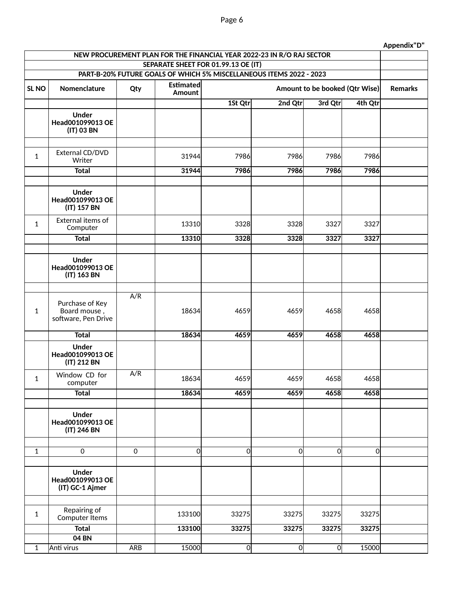| NEW PROCUREMENT PLAN FOR THE FINANCIAL YEAR 2022-23 IN R/O RAJ SECTOR |                                                        |                     |                            |                                     |                                                                     |                                |                |                |  |
|-----------------------------------------------------------------------|--------------------------------------------------------|---------------------|----------------------------|-------------------------------------|---------------------------------------------------------------------|--------------------------------|----------------|----------------|--|
|                                                                       |                                                        |                     |                            | SEPARATE SHEET FOR 01.99.13 OE (IT) |                                                                     |                                |                |                |  |
|                                                                       |                                                        |                     |                            |                                     | PART-B-20% FUTURE GOALS OF WHICH 5% MISCELLANEOUS ITEMS 2022 - 2023 |                                |                |                |  |
| SL <sub>NO</sub>                                                      | Nomenclature                                           | Qty                 | <b>Estimated</b><br>Amount |                                     |                                                                     | Amount to be booked (Qtr Wise) |                | <b>Remarks</b> |  |
|                                                                       |                                                        |                     |                            | 1St Qtr                             | 2nd Qtr                                                             | 3rd Qtr                        | 4th Qtr        |                |  |
|                                                                       | <b>Under</b><br>Head001099013 OE<br>(IT) 03 BN         |                     |                            |                                     |                                                                     |                                |                |                |  |
| $\mathbf{1}$                                                          | External CD/DVD<br>Writer                              |                     | 31944                      | 7986                                | 7986                                                                | 7986                           | 7986           |                |  |
|                                                                       | <b>Total</b>                                           |                     | 31944                      | 7986                                | 7986                                                                | 7986                           | 7986           |                |  |
|                                                                       |                                                        |                     |                            |                                     |                                                                     |                                |                |                |  |
|                                                                       | <b>Under</b><br>Head001099013 OE<br>(IT) 157 BN        |                     |                            |                                     |                                                                     |                                |                |                |  |
| $\mathbf{1}$                                                          | External items of<br>Computer                          |                     | 13310                      | 3328                                | 3328                                                                | 3327                           | 3327           |                |  |
|                                                                       | <b>Total</b>                                           |                     | 13310                      | 3328                                | 3328                                                                | 3327                           | 3327           |                |  |
|                                                                       |                                                        |                     |                            |                                     |                                                                     |                                |                |                |  |
|                                                                       | <b>Under</b><br>Head001099013 OE<br>(IT) 163 BN        |                     |                            |                                     |                                                                     |                                |                |                |  |
|                                                                       |                                                        |                     |                            |                                     |                                                                     |                                |                |                |  |
| $\mathbf{1}$                                                          | Purchase of Key<br>Board mouse,<br>software, Pen Drive | A/R                 | 18634                      | 4659                                | 4659                                                                | 4658                           | 4658           |                |  |
|                                                                       | <b>Total</b>                                           |                     | 18634                      | 4659                                | 4659                                                                | 4658                           | 4658           |                |  |
|                                                                       | <b>Under</b><br>Head001099013 OE<br>(IT) 212 BN        |                     |                            |                                     |                                                                     |                                |                |                |  |
| $\mathbf{1}$                                                          | Window CD for<br>computer                              | A/R                 | 18634                      | 4659                                | 4659                                                                | 4658                           | 4658           |                |  |
|                                                                       | <b>Total</b>                                           |                     | 18634                      | 4659                                | 4659                                                                | 4658                           | 4658           |                |  |
|                                                                       |                                                        |                     |                            |                                     |                                                                     |                                |                |                |  |
|                                                                       | <b>Under</b><br>Head001099013 OE<br>(IT) 246 BN        |                     |                            |                                     |                                                                     |                                |                |                |  |
|                                                                       |                                                        |                     |                            |                                     |                                                                     |                                |                |                |  |
| $\mathbf{1}$                                                          | $\mathsf{O}\xspace$                                    | $\mathsf{O}\xspace$ | 0                          | 0                                   | $\overline{0}$                                                      | $\overline{0}$                 | $\overline{0}$ |                |  |
|                                                                       | <b>Under</b><br>Head001099013 OE<br>(IT) GC-1 Ajmer    |                     |                            |                                     |                                                                     |                                |                |                |  |
|                                                                       |                                                        |                     |                            |                                     |                                                                     |                                |                |                |  |
| $\mathbf{1}$                                                          | Repairing of<br>Computer Items                         |                     | 133100                     | 33275                               | 33275                                                               | 33275                          | 33275          |                |  |
|                                                                       | <b>Total</b>                                           |                     | 133100                     | 33275                               | 33275                                                               | 33275                          | 33275          |                |  |
|                                                                       | <b>04 BN</b>                                           |                     |                            |                                     |                                                                     |                                |                |                |  |
| $\mathbf{1}$                                                          | Anti virus                                             | ARB                 | 15000                      | $\mathbf 0$                         | $\overline{0}$                                                      | $\overline{0}$                 | 15000          |                |  |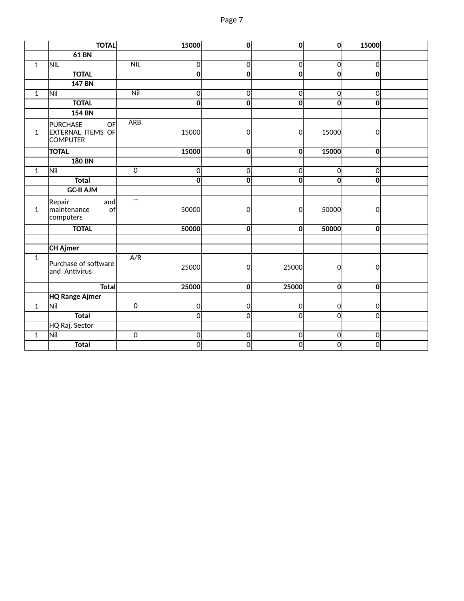|              | <b>TOTAL</b>                                                  |                          | 15000                   | $\overline{0}$          | $\overline{0}$          | 0              | 15000          |  |
|--------------|---------------------------------------------------------------|--------------------------|-------------------------|-------------------------|-------------------------|----------------|----------------|--|
|              | <b>61 BN</b>                                                  |                          |                         |                         |                         |                |                |  |
| $\mathbf{1}$ | <b>NIL</b>                                                    | NIL                      | <sup>o</sup>            | $\mathbf 0$             | $\mathbf 0$             | 0              | $\overline{O}$ |  |
|              | <b>TOTAL</b>                                                  |                          | $\overline{0}$          | $\mathbf 0$             | $\overline{\mathbf{0}}$ | 0              | $\mathbf{0}$   |  |
|              | <b>147 BN</b>                                                 |                          |                         |                         |                         |                |                |  |
| $\mathbf{1}$ | Nil                                                           | Nil                      | 0                       | $\overline{0}$          | $\overline{0}$          | 0              | $\mathbf 0$    |  |
|              | <b>TOTAL</b>                                                  |                          | $\overline{\mathbf{o}}$ | $\overline{\mathbf{0}}$ | $\mathbf 0$             | $\overline{0}$ | $\mathbf{0}$   |  |
|              | <b>154 BN</b>                                                 |                          |                         |                         |                         |                |                |  |
| $\mathbf{1}$ | OF<br><b>PURCHASE</b><br>EXTERNAL ITEMS OF<br><b>COMPUTER</b> | <b>ARB</b>               | 15000                   | $\overline{0}$          | $\overline{0}$          | 15000          | $\overline{O}$ |  |
|              | <b>TOTAL</b>                                                  |                          | 15000                   | $\overline{\mathbf{0}}$ | $\mathbf{0}$            | 15000          | $\overline{0}$ |  |
|              | <b>180 BN</b>                                                 |                          |                         |                         |                         |                |                |  |
| $\mathbf{1}$ | Nil                                                           | $\mathbf 0$              | $\overline{0}$          | $\mathbf 0$             | $\mathbf 0$             | $\overline{0}$ | $\overline{O}$ |  |
|              | <b>Total</b>                                                  |                          | <sub>0</sub>            | $\mathbf 0$             | $\mathbf 0$             | $\Omega$       | $\mathbf{o}$   |  |
|              | <b>GC-II AJM</b>                                              |                          |                         |                         |                         |                |                |  |
| $\mathbf{1}$ | Repair<br>and<br>maintenance<br>of<br>computers               | $\overline{\phantom{a}}$ | 50000                   | $\overline{O}$          | $\overline{O}$          | 50000          | $\mathbf 0$    |  |
|              | <b>TOTAL</b>                                                  |                          | 50000                   | $\overline{0}$          | 0                       | 50000          | $\overline{0}$ |  |
|              |                                                               |                          |                         |                         |                         |                |                |  |
|              | <b>CH Ajmer</b>                                               |                          |                         |                         |                         |                |                |  |
| $\mathbf{1}$ | Purchase of software<br>and Antivirus                         | A/R                      | 25000                   | $\overline{O}$          | 25000                   | $\Omega$       | $\overline{O}$ |  |
|              | <b>Total</b>                                                  |                          | 25000                   | $\mathbf{0}$            | 25000                   | 0              | $\overline{0}$ |  |
|              | <b>HQ Range Ajmer</b>                                         |                          |                         |                         |                         |                |                |  |
| $\mathbf{1}$ | Nil                                                           | $\mathbf 0$              | <sup>o</sup>            | $\mathsf{O}$            | $\mathbf 0$             | 0              | $\mathbf 0$    |  |
|              | <b>Total</b>                                                  |                          | $\overline{0}$          | 0                       | $\overline{O}$          | <sub>0</sub>   | $\overline{O}$ |  |
|              | HQ Raj. Sector                                                |                          |                         |                         |                         |                |                |  |
| $\mathbf{1}$ | Nil                                                           | $\overline{0}$           | 0                       | $\mathsf{O}$            | $\overline{0}$          | 0              | $\overline{0}$ |  |
|              | <b>Total</b>                                                  |                          | $\overline{0}$          | $\overline{0}$          | $\overline{0}$          | $\overline{0}$ | $\overline{0}$ |  |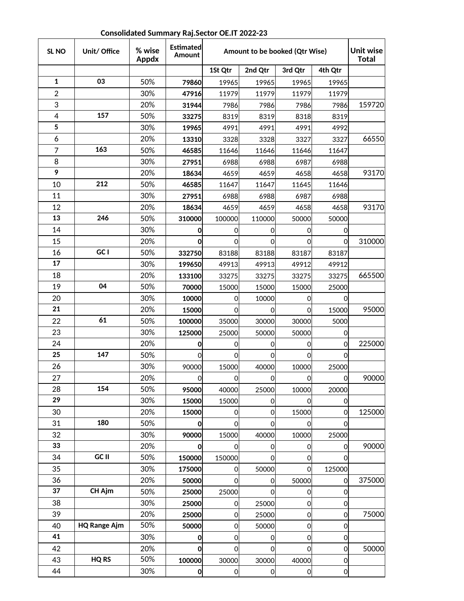| SL <sub>NO</sub> | Unit/ Office        | % wise<br><b>Appdx</b> | <b>Estimated</b><br><b>Amount</b> | Amount to be booked (Qtr Wise) |                | <b>Unit wise</b><br><b>Total</b> |                |        |
|------------------|---------------------|------------------------|-----------------------------------|--------------------------------|----------------|----------------------------------|----------------|--------|
|                  |                     |                        |                                   | 1St Qtr                        | 2nd Qtr        | 3rd Qtr                          | 4th Qtr        |        |
| $\mathbf 1$      | 03                  | 50%                    | 79860                             | 19965                          | 19965          | 19965                            | 19965          |        |
| $\boldsymbol{2}$ |                     | 30%                    | 47916                             | 11979                          | 11979          | 11979                            | 11979          |        |
| 3                |                     | 20%                    | 31944                             | 7986                           | 7986           | 7986                             | 7986           | 159720 |
| $\overline{4}$   | 157                 | 50%                    | 33275                             | 8319                           | 8319           | 8318                             | 8319           |        |
| 5                |                     | 30%                    | 19965                             | 4991                           | 4991           | 4991                             | 4992           |        |
| 6                |                     | 20%                    | 13310                             | 3328                           | 3328           | 3327                             | 3327           | 66550  |
| $\overline{7}$   | 163                 | 50%                    | 46585                             | 11646                          | 11646          | 11646                            | 11647          |        |
| 8                |                     | 30%                    | 27951                             | 6988                           | 6988           | 6987                             | 6988           |        |
| 9                |                     | 20%                    | 18634                             | 4659                           | 4659           | 4658                             | 4658           | 93170  |
| 10               | 212                 | 50%                    | 46585                             | 11647                          | 11647          | 11645                            | 11646          |        |
| 11               |                     | 30%                    | 27951                             | 6988                           | 6988           | 6987                             | 6988           |        |
| 12               |                     | 20%                    | 18634                             | 4659                           | 4659           | 4658                             | 4658           | 93170  |
| 13               | 246                 | 50%                    | 310000                            | 100000                         | 110000         | 50000                            | 50000          |        |
| 14               |                     | 30%                    | 0                                 | 0                              | 0              | 0                                | 0              |        |
| 15               |                     | 20%                    | $\mathbf{0}$                      | 0                              | $\Omega$       | 0                                | $\overline{0}$ | 310000 |
| 16               | GC I                | 50%                    | 332750                            | 83188                          | 83188          | 83187                            | 83187          |        |
| 17               |                     | 30%                    | 199650                            | 49913                          | 49913          | 49912                            | 49912          |        |
| 18               |                     | 20%                    | 133100                            | 33275                          | 33275          | 33275                            | 33275          | 665500 |
| 19               | 04                  | 50%                    | 70000                             | 15000                          | 15000          | 15000                            | 25000          |        |
| 20               |                     | 30%                    | 10000                             | 0                              | 10000          | 0                                | Ω              |        |
| 21               |                     | 20%                    | 15000                             | 0                              | 0              | 0                                | 15000          | 95000  |
| 22               | 61                  | 50%                    | 100000                            | 35000                          | 30000          | 30000                            | 5000           |        |
| 23               |                     | 30%                    | 125000                            | 25000                          | 50000          | 50000                            | 0              |        |
| 24               |                     | 20%                    | 0                                 | 0                              | 0              | 0                                | 0              | 225000 |
| 25               | 147                 | 50%                    | $\Omega$                          | 0                              | $\Omega$       | 0                                | 0              |        |
| 26               |                     | 30%                    | 90000                             | 15000                          | 40000          | 10000                            | 25000          |        |
| 27               |                     | 20%                    | 이                                 | $\overline{0}$                 | 이              | $\overline{0}$                   |                | 90000  |
| 28               | 154                 | 50%                    | 95000                             | 40000                          | 25000          | 10000                            | 20000          |        |
| 29               |                     | 30%                    | 15000                             | 15000                          | 0l             | 0l                               | 0              |        |
| 30               |                     | 20%                    | 15000                             | 0                              | $\Omega$       | 15000                            | 0              | 125000 |
| 31               | 180                 | 50%                    | 0                                 | $\mathbf 0$                    | <sub>0</sub>   | $\overline{O}$                   | 0              |        |
| 32               |                     | 30%                    | 90000                             | 15000                          | 40000          | 10000                            | 25000          |        |
| 33               |                     | 20%                    | Οl                                | 0                              | 0l             | 0                                | Ol             | 90000  |
| 34               | GC II               | 50%                    | 150000                            | 150000                         | 0l             | 0l                               | 0              |        |
| 35               |                     | 30%                    | 175000                            | 0                              | 50000          | $\overline{O}$                   | 125000         |        |
| 36               |                     | 20%                    | 50000                             | $\Omega$                       | <sub>0</sub>   | 50000                            | 0l             | 375000 |
| 37               | CH Ajm              | 50%                    | 25000                             | 25000                          | <sub>0</sub>   | 0                                | 0              |        |
| 38               |                     | 30%                    | 25000                             | 0                              | 25000          | 0                                | 0              |        |
| 39               |                     | 20%                    | 25000                             | $\mathbf 0$                    | 25000          | $\mathbf 0$                      | $\overline{0}$ | 75000  |
| 40               | <b>HQ Range Ajm</b> | 50%                    | 50000                             | 0                              | 50000          | $\overline{0}$                   | 0              |        |
| 41               |                     | 30%                    | 0                                 | 0                              | <sub>0</sub>   | $\mathbf 0$                      | 0              |        |
| 42               |                     | 20%                    | $\mathbf 0$                       | 0                              | <sub>0</sub>   | $\mathbf 0$                      | 0              | 50000  |
| 43               | <b>HQ RS</b>        | 50%                    | 100000                            | 30000                          | 30000          | 40000                            | 0              |        |
| 44               |                     | 30%                    | $\mathbf{0}$                      | $\mathbf 0$                    | $\overline{0}$ | $\mathbf 0$                      | $\overline{O}$ |        |

## **Consolidated Summary Raj.Sector OE.IT 2022-23**